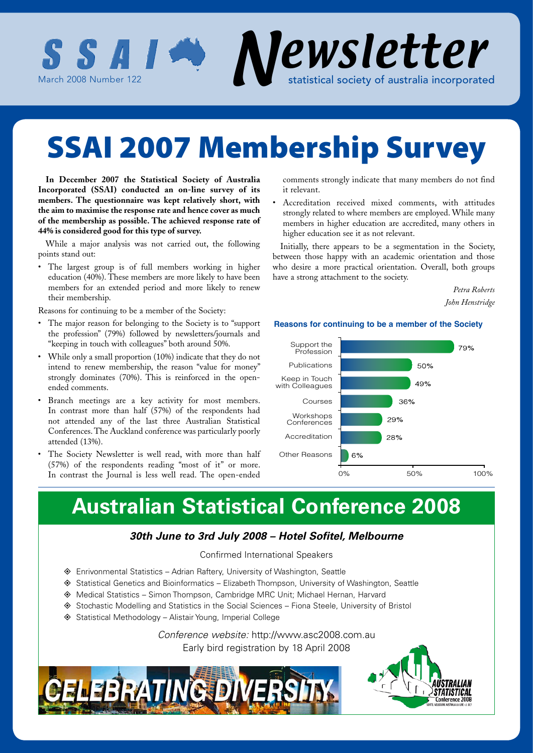

# SSAI 2007 Membership Survey

**In December 2007 the Statistical Society of Australia Incorporated (SSAI) conducted an on-line survey of its members. The questionnaire was kept relatively short, with the aim to maximise the response rate and hence cover as much of the membership as possible. The achieved response rate of 44% is considered good for this type of survey.**

While a major analysis was not carried out, the following points stand out:

• The largest group is of full members working in higher education (40%). These members are more likely to have been members for an extended period and more likely to renew their membership.

Reasons for continuing to be a member of the Society:

- The major reason for belonging to the Society is to "support" the profession" (79%) followed by newsletters/journals and "keeping in touch with colleagues" both around 50%.
- While only a small proportion (10%) indicate that they do not intend to renew membership, the reason "value for money" strongly dominates (70%). This is reinforced in the openended comments.
- Branch meetings are a key activity for most members. In contrast more than half (57%) of the respondents had not attended any of the last three Australian Statistical Conferences. The Auckland conference was particularly poorly attended (13%).
- The Society Newsletter is well read, with more than half (57%) of the respondents reading "most of it" or more. In contrast the Journal is less well read. The open-ended

comments strongly indicate that many members do not find it relevant.

• Accreditation received mixed comments, with attitudes strongly related to where members are employed. While many members in higher education are accredited, many others in higher education see it as not relevant.

Initially, there appears to be a segmentation in the Society, between those happy with an academic orientation and those who desire a more practical orientation. Overall, both groups have a strong attachment to the society.

> *Petra Roberts John Henstridge*

#### **Reasons for continuing to be a member of the Society**



# **Australian Statistical Conference 2008**

### *30th June to 3rd July 2008 – Hotel Sofitel, Melbourne*

### Confirmed International Speakers

- ◆ Enrivonmental Statistics Adrian Raftery, University of Washington, Seattle
- ♦ Statistical Genetics and Bioinformatics Elizabeth Thompson, University of Washington, Seattle
- ◆ Medical Statistics Simon Thompson, Cambridge MRC Unit; Michael Hernan, Harvard
- ◆ Stochastic Modelling and Statistics in the Social Sciences Fiona Steele, University of Bristol
- $\diamond$  Statistical Methodology Alistair Young, Imperial College

*Conference website:* http://www.asc2008.com.au Early bird registration by 18 April 2008



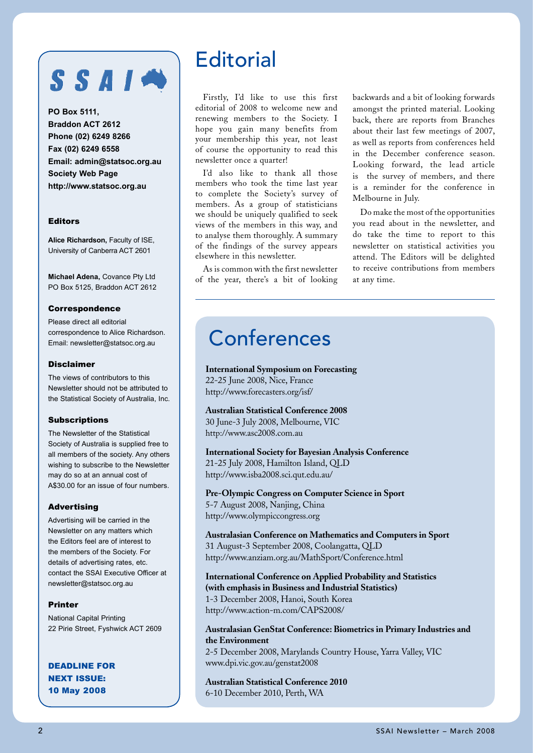# SSAIN

**PO Box 5111, Braddon ACT 2612 Phone (02) 6249 8266 Fax (02) 6249 6558 Email: admin@statsoc.org.au Society Web Page http://www.statsoc.org.au**

#### Editors

**Alice Richardson,** Faculty of ISE, University of Canberra ACT 2601

**Michael Adena,** Covance Pty Ltd PO Box 5125, Braddon ACT 2612

#### **Correspondence**

Please direct all editorial correspondence to Alice Richardson. Email: newsletter@statsoc.org.au

#### Disclaimer

The views of contributors to this Newsletter should not be attributed to the Statistical Society of Australia, Inc.

#### **Subscriptions**

The Newsletter of the Statistical Society of Australia is supplied free to all members of the society. Any others wishing to subscribe to the Newsletter may do so at an annual cost of A\$30.00 for an issue of four numbers.

#### Advertising

Advertising will be carried in the Newsletter on any matters which the Editors feel are of interest to the members of the Society. For details of advertising rates, etc. contact the SSAI Executive Officer at newsletter@statsoc.org.au

#### Printer

National Capital Printing 22 Pirie Street, Fyshwick ACT 2609

DEADLINE FOR NEXT ISSUE: 10 May 2008

### **Editorial**

Firstly, I'd like to use this first editorial of 2008 to welcome new and renewing members to the Society. I hope you gain many benefits from your membership this year, not least of course the opportunity to read this newsletter once a quarter!

I'd also like to thank all those members who took the time last year to complete the Society's survey of members. As a group of statisticians we should be uniquely qualified to seek views of the members in this way, and to analyse them thoroughly. A summary of the findings of the survey appears elsewhere in this newsletter.

As is common with the first newsletter of the year, there's a bit of looking backwards and a bit of looking forwards amongst the printed material. Looking back, there are reports from Branches about their last few meetings of 2007, as well as reports from conferences held in the December conference season. Looking forward, the lead article is the survey of members, and there is a reminder for the conference in Melbourne in July.

Do make the most of the opportunities you read about in the newsletter, and do take the time to report to this newsletter on statistical activities you attend. The Editors will be delighted to receive contributions from members at any time.

## Conferences

**International Symposium on Forecasting** 22-25 June 2008, Nice, France http://www.forecasters.org/isf/

**Australian Statistical Conference 2008**

30 June-3 July 2008, Melbourne, VIC http://www.asc2008.com.au

**International Society for Bayesian Analysis Conference** 21-25 July 2008, Hamilton Island, QLD http://www.isba2008.sci.qut.edu.au/

**Pre-Olympic Congress on Computer Science in Sport** 5-7 August 2008, Nanjing, China http://www.olympiccongress.org

**Australasian Conference on Mathematics and Computers in Sport** 31 August-3 September 2008, Coolangatta, QLD http://www.anziam.org.au/MathSport/Conference.html

**International Conference on Applied Probability and Statistics (with emphasis in Business and Industrial Statistics)** 1-3 December 2008, Hanoi, South Korea http://www.action-m.com/CAPS2008/

**Australasian GenStat Conference: Biometrics in Primary Industries and the Environment**

2-5 December 2008, Marylands Country House, Yarra Valley, VIC www.dpi.vic.gov.au/genstat2008

**Australian Statistical Conference 2010** 6-10 December 2010, Perth, WA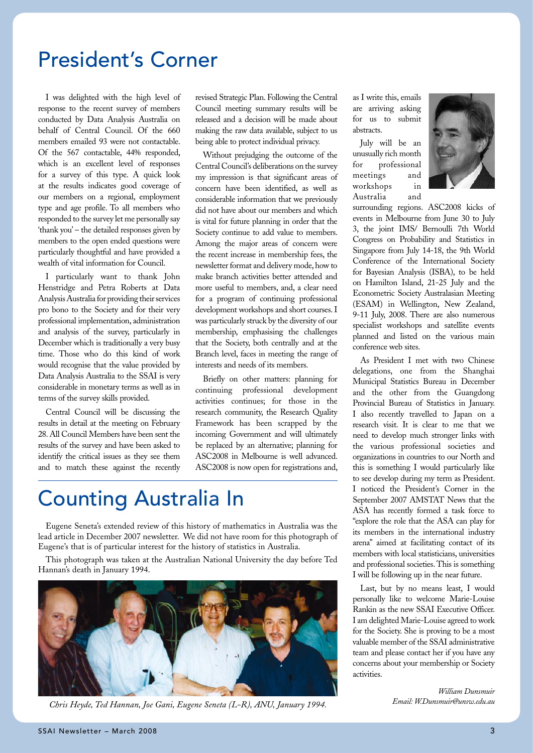## President's Corner

I was delighted with the high level of response to the recent survey of members conducted by Data Analysis Australia on behalf of Central Council. Of the 660 members emailed 93 were not contactable. Of the 567 contactable, 44% responded, which is an excellent level of responses for a survey of this type. A quick look at the results indicates good coverage of our members on a regional, employment type and age profile. To all members who responded to the survey let me personally say 'thank you' – the detailed responses given by members to the open ended questions were particularly thoughtful and have provided a wealth of vital information for Council.

I particularly want to thank John Henstridge and Petra Roberts at Data Analysis Australia for providing their services pro bono to the Society and for their very professional implementation, administration and analysis of the survey, particularly in December which is traditionally a very busy time. Those who do this kind of work would recognise that the value provided by Data Analysis Australia to the SSAI is very considerable in monetary terms as well as in terms of the survey skills provided.

Central Council will be discussing the results in detail at the meeting on February 28. All Council Members have been sent the results of the survey and have been asked to identify the critical issues as they see them and to match these against the recently

revised Strategic Plan. Following the Central Council meeting summary results will be released and a decision will be made about making the raw data available, subject to us being able to protect individual privacy.

Without prejudging the outcome of the Central Council's deliberations on the survey my impression is that significant areas of concern have been identified, as well as considerable information that we previously did not have about our members and which is vital for future planning in order that the Society continue to add value to members. Among the major areas of concern were the recent increase in membership fees, the newsletter format and delivery mode, how to make branch activities better attended and more useful to members, and, a clear need for a program of continuing professional development workshops and short courses. I was particularly struck by the diversity of our membership, emphasising the challenges that the Society, both centrally and at the Branch level, faces in meeting the range of interests and needs of its members.

Briefly on other matters: planning for continuing professional development activities continues; for those in the research community, the Research Quality Framework has been scrapped by the incoming Government and will ultimately be replaced by an alternative; planning for ASC2008 in Melbourne is well advanced. ASC2008 is now open for registrations and,

# Counting Australia In

Eugene Seneta's extended review of this history of mathematics in Australia was the lead article in December 2007 newsletter. We did not have room for this photograph of Eugene's that is of particular interest for the history of statistics in Australia.

This photograph was taken at the Australian National University the day before Ted Hannan's death in January 1994.



*Chris Heyde, Ted Hannan, Joe Gani, Eugene Seneta (L-R), ANU, January 1994.*

as I write this, emails are arriving asking for us to submit abstracts.

July will be an unusually rich month for professional meetings and workshops in Australia and



surrounding regions. ASC2008 kicks of events in Melbourne from June 30 to July 3, the joint IMS/ Bernoulli 7th World Congress on Probability and Statistics in Singapore from July 14-18, the 9th World Conference of the International Society for Bayesian Analysis (ISBA), to be held on Hamilton Island, 21-25 July and the Econometric Society Australasian Meeting (ESAM) in Wellington, New Zealand, 9-11 July, 2008. There are also numerous specialist workshops and satellite events planned and listed on the various main conference web sites.

As President I met with two Chinese delegations, one from the Shanghai Municipal Statistics Bureau in December and the other from the Guangdong Provincial Bureau of Statistics in January. I also recently travelled to Japan on a research visit. It is clear to me that we need to develop much stronger links with the various professional societies and organizations in countries to our North and this is something I would particularly like to see develop during my term as President. I noticed the President's Corner in the September 2007 AMSTAT News that the ASA has recently formed a task force to "explore the role that the ASA can play for its members in the international industry arena" aimed at facilitating contact of its members with local statisticians, universities and professional societies. This is something I will be following up in the near future.

Last, but by no means least, I would personally like to welcome Marie-Louise Rankin as the new SSAI Executive Officer. I am delighted Marie-Louise agreed to work for the Society. She is proving to be a most valuable member of the SSAI administrative team and please contact her if you have any concerns about your membership or Society activities.

> *William Dunsmuir Email: W.Dunsmuir@unsw.edu.au*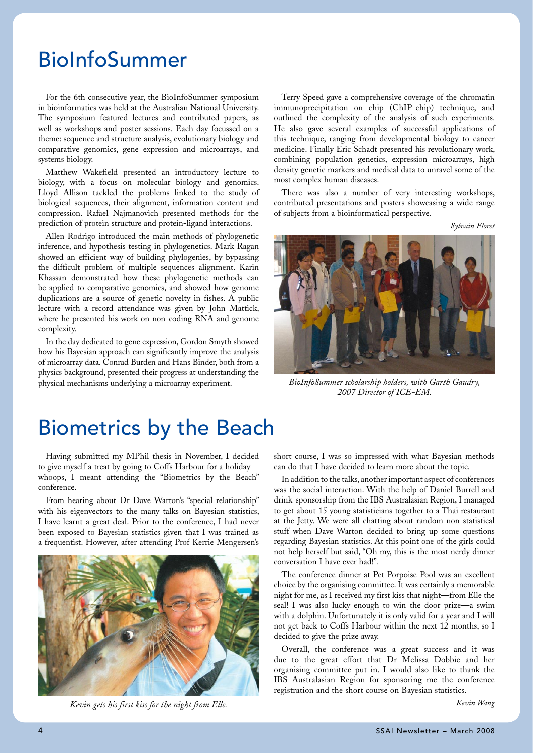# BioInfoSummer

For the 6th consecutive year, the BioInfoSummer symposium in bioinformatics was held at the Australian National University. The symposium featured lectures and contributed papers, as well as workshops and poster sessions. Each day focussed on a theme: sequence and structure analysis, evolutionary biology and comparative genomics, gene expression and microarrays, and systems biology.

Matthew Wakefield presented an introductory lecture to biology, with a focus on molecular biology and genomics. Lloyd Allison tackled the problems linked to the study of biological sequences, their alignment, information content and compression. Rafael Najmanovich presented methods for the prediction of protein structure and protein-ligand interactions.

Allen Rodrigo introduced the main methods of phylogenetic inference, and hypothesis testing in phylogenetics. Mark Ragan showed an efficient way of building phylogenies, by bypassing the difficult problem of multiple sequences alignment. Karin Khassan demonstrated how these phylogenetic methods can be applied to comparative genomics, and showed how genome duplications are a source of genetic novelty in fishes. A public lecture with a record attendance was given by John Mattick, where he presented his work on non-coding RNA and genome complexity.

In the day dedicated to gene expression, Gordon Smyth showed how his Bayesian approach can significantly improve the analysis of microarray data. Conrad Burden and Hans Binder, both from a physics background, presented their progress at understanding the physical mechanisms underlying a microarray experiment.

Terry Speed gave a comprehensive coverage of the chromatin immunoprecipitation on chip (ChIP-chip) technique, and outlined the complexity of the analysis of such experiments. He also gave several examples of successful applications of this technique, ranging from developmental biology to cancer medicine. Finally Eric Schadt presented his revolutionary work, combining population genetics, expression microarrays, high density genetic markers and medical data to unravel some of the most complex human diseases.

There was also a number of very interesting workshops, contributed presentations and posters showcasing a wide range of subjects from a bioinformatical perspective.

*Sylvain Floret*



*BioInfoSummer scholarship holders, with Garth Gaudry, 2007 Director of ICE-EM.*

# Biometrics by the Beach

Having submitted my MPhil thesis in November, I decided to give myself a treat by going to Coffs Harbour for a holiday whoops, I meant attending the "Biometrics by the Beach" conference.

From hearing about Dr Dave Warton's "special relationship" with his eigenvectors to the many talks on Bayesian statistics, I have learnt a great deal. Prior to the conference, I had never been exposed to Bayesian statistics given that I was trained as a frequentist. However, after attending Prof Kerrie Mengersen's



*Kevin gets his first kiss for the night from Elle.*

short course, I was so impressed with what Bayesian methods can do that I have decided to learn more about the topic.

In addition to the talks, another important aspect of conferences was the social interaction. With the help of Daniel Burrell and drink-sponsorship from the IBS Australasian Region, I managed to get about 15 young statisticians together to a Thai restaurant at the Jetty. We were all chatting about random non-statistical stuff when Dave Warton decided to bring up some questions regarding Bayesian statistics. At this point one of the girls could not help herself but said, "Oh my, this is the most nerdy dinner conversation I have ever had!".

The conference dinner at Pet Porpoise Pool was an excellent choice by the organising committee. It was certainly a memorable night for me, as I received my first kiss that night—from Elle the seal! I was also lucky enough to win the door prize—a swim with a dolphin. Unfortunately it is only valid for a year and I will not get back to Coffs Harbour within the next 12 months, so I decided to give the prize away.

Overall, the conference was a great success and it was due to the great effort that Dr Melissa Dobbie and her organising committee put in. I would also like to thank the IBS Australasian Region for sponsoring me the conference registration and the short course on Bayesian statistics.

*Kevin Wang*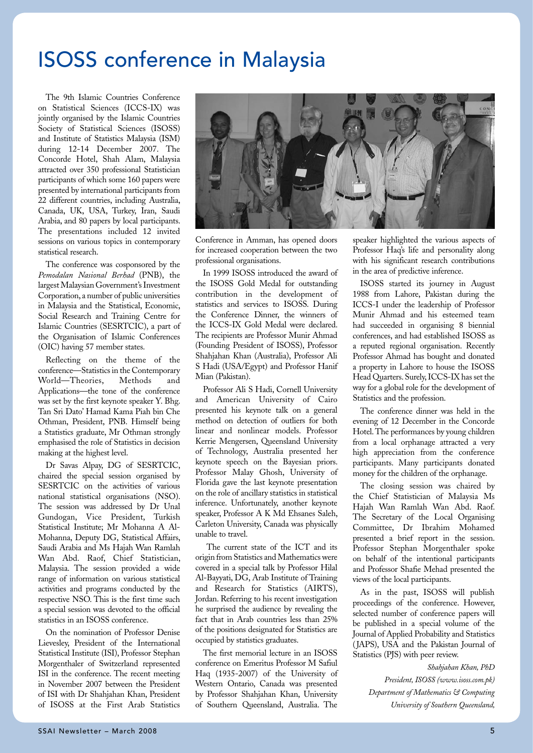# ISOSS conference in Malaysia

The 9th Islamic Countries Conference on Statistical Sciences (ICCS-IX) was jointly organised by the Islamic Countries Society of Statistical Sciences (ISOSS) and Institute of Statistics Malaysia (ISM) during 12-14 December 2007. The Concorde Hotel, Shah Alam, Malaysia attracted over 350 professional Statistician participants of which some 160 papers were presented by international participants from 22 different countries, including Australia, Canada, UK, USA, Turkey, Iran, Saudi Arabia, and 80 papers by local participants. The presentations included 12 invited sessions on various topics in contemporary statistical research.

The conference was cosponsored by the *Pemodalan Nasional Berhad* (PNB), the largest Malaysian Government's Investment Corporation, a number of public universities in Malaysia and the Statistical, Economic, Social Research and Training Centre for Islamic Countries (SESRTCIC), a part of the Organisation of Islamic Conferences (OIC) having 57 member states.

Reflecting on the theme of the conference—Statistics in the Contemporary World—Theories, Methods and Applications—the tone of the conference was set by the first keynote speaker Y. Bhg. Tan Sri Dato' Hamad Kama Piah bin Che Othman, President, PNB. Himself being a Statistics graduate, Mr Othman strongly emphasised the role of Statistics in decision making at the highest level.

Dr Savas Alpay, DG of SESRTCIC, chaired the special session organised by SESRTCIC on the activities of various national statistical organisations (NSO). The session was addressed by Dr Unal Gundogan, Vice President, Turkish Statistical Institute; Mr Mohanna A Al-Mohanna, Deputy DG, Statistical Affairs, Saudi Arabia and Ms Hajah Wan Ramlah Wan Abd. Raof, Chief Statistician, Malaysia. The session provided a wide range of information on various statistical activities and programs conducted by the respective NSO. This is the first time such a special session was devoted to the official statistics in an ISOSS conference.

On the nomination of Professor Denise Lievesley, President of the International Statistical Institute (ISI), Professor Stephan Morgenthaler of Switzerland represented ISI in the conference. The recent meeting in November 2007 between the President of ISI with Dr Shahjahan Khan, President of ISOSS at the First Arab Statistics



Conference in Amman, has opened doors for increased cooperation between the two professional organisations.

In 1999 ISOSS introduced the award of the ISOSS Gold Medal for outstanding contribution in the development of statistics and services to ISOSS. During the Conference Dinner, the winners of the ICCS-IX Gold Medal were declared. The recipients are Professor Munir Ahmad (Founding President of ISOSS), Professor Shahjahan Khan (Australia), Professor Ali S Hadi (USA/Egypt) and Professor Hanif Mian (Pakistan).

Professor Ali S Hadi, Cornell University and American University of Cairo presented his keynote talk on a general method on detection of outliers for both linear and nonlinear models. Professor Kerrie Mengersen, Queensland University of Technology, Australia presented her keynote speech on the Bayesian priors. Professor Malay Ghosh, University of Florida gave the last keynote presentation on the role of ancillary statistics in statistical inference. Unfortunately, another keynote speaker, Professor A K Md Ehsanes Saleh, Carleton University, Canada was physically unable to travel.

 The current state of the ICT and its origin from Statistics and Mathematics were covered in a special talk by Professor Hilal Al-Bayyati, DG, Arab Institute of Training and Research for Statistics (AIRTS), Jordan. Referring to his recent investigation he surprised the audience by revealing the fact that in Arab countries less than 25% of the positions designated for Statistics are occupied by statistics graduates.

The first memorial lecture in an ISOSS conference on Emeritus Professor M Safiul Haq (1935-2007) of the University of Western Ontario, Canada was presented by Professor Shahjahan Khan, University of Southern Queensland, Australia. The

speaker highlighted the various aspects of Professor Haq's life and personality along with his significant research contributions in the area of predictive inference.

ISOSS started its journey in August 1988 from Lahore, Pakistan during the ICCS-I under the leadership of Professor Munir Ahmad and his esteemed team had succeeded in organising 8 biennial conferences, and had established ISOSS as a reputed regional organisation. Recently Professor Ahmad has bought and donated a property in Lahore to house the ISOSS Head Quarters. Surely, ICCS-IX has set the way for a global role for the development of Statistics and the profession.

The conference dinner was held in the evening of 12 December in the Concorde Hotel. The performances by young children from a local orphanage attracted a very high appreciation from the conference participants. Many participants donated money for the children of the orphanage.

The closing session was chaired by the Chief Statistician of Malaysia Ms Hajah Wan Ramlah Wan Abd. Raof. The Secretary of the Local Organising Committee, Dr Ibrahim Mohamed presented a brief report in the session. Professor Stephan Morgenthaler spoke on behalf of the intentional participants and Professor Shafie Mehad presented the views of the local participants.

As in the past, ISOSS will publish proceedings of the conference. However, selected number of conference papers will be published in a special volume of the Journal of Applied Probability and Statistics (JAPS), USA and the Pakistan Journal of Statistics (PJS) with peer review.

> *Shahjahan Khan, PhD President, ISOSS (www.isoss.com.pk)*

*Department of Mathematics & Computing University of Southern Queensland,*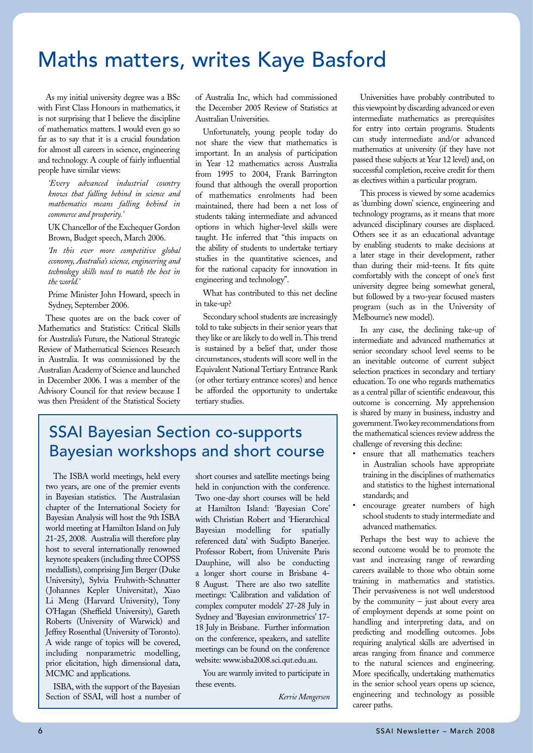# Maths matters, writes Kaye Basford

As my initial university degree was a BSc with First Class Honours in mathematics, it is not surprising that I believe the discipline of mathematics matters. I would even go so far as to say that it is a crucial foundation for almost all careers in science, engineering and technology. A couple of fairly influential people have similar views:

*'Every advanced industrial country knows that falling behind in science and mathematics means falling behind in commerce and prosperity.'*

UK Chancellor of the Exchequer Gordon Brown, Budget speech, March 2006.

*'In this ever more competitive global economy, Australia's science, engineering and technology skills need to match the best in the world.'*

Prime Minister John Howard, speech in Sydney, September 2006.

These quotes are on the back cover of Mathematics and Statistics: Critical Skills for Australia's Future, the National Strategic Review of Mathematical Sciences Research in Australia. It was commissioned by the Australian Academy of Science and launched in December 2006. I was a member of the Advisory Council for that review because I was then President of the Statistical Society

of Australia Inc, which had commissioned the December 2005 Review of Statistics at Australian Universities.

Unfortunately, young people today do not share the view that mathematics is important. In an analysis of participation in Year 12 mathematics across Australia from 1995 to 2004, Frank Barrington found that although the overall proportion of mathematics enrolments had been maintained, there had been a net loss of students taking intermediate and advanced options in which higher-level skills were taught. He inferred that "this impacts on the ability of students to undertake tertiary studies in the quantitative sciences, and for the national capacity for innovation in engineering and technology".

What has contributed to this net decline in take-up?

Secondary school students are increasingly told to take subjects in their senior years that they like or are likely to do well in. This trend is sustained by a belief that, under those circumstances, students will score well in the Equivalent National Tertiary Entrance Rank (or other tertiary entrance scores) and hence be afforded the opportunity to undertake tertiary studies.

### SSAI Bayesian Section co-supports Bayesian workshops and short course

The ISBA world meetings, held every two years, are one of the premier events in Bayesian statistics. The Australasian chapter of the International Society for Bayesian Analysis will host the 9th ISBA world meeting at Hamilton Island on July 21-25, 2008. Australia will therefore play host to several internationally renowned keynote speakers (including three COPSS medallists), comprising Jim Berger (Duke University), Sylvia Fruhwith-Schnatter (Johannes Kepler Universitat), Xiao Li Meng (Harvard University), Tony O'Hagan (Sheffield University), Gareth Roberts (University of Warwick) and Jeffrey Rosenthal (University of Toronto). A wide range of topics will be covered, including nonparametric modelling, prior elicitation, high dimensional data, MCMC and applications.

ISBA, with the support of the Bayesian Section of SSAI, will host a number of short courses and satellite meetings being held in conjunction with the conference. Two one-day short courses will be held at Hamilton Island: 'Bayesian Core' with Christian Robert and 'Hierarchical Bayesian modelling for spatially referenced data' with Sudipto Banerjee. Professor Robert, from Universite Paris Dauphine, will also be conducting a longer short course in Brisbane 4- 8 August. There are also two satellite meetings: 'Calibration and validation of complex computer models' 27-28 July in Sydney and 'Bayesian environmetrics' 17- 18 July in Brisbane. Further information on the conference, speakers, and satellite meetings can be found on the conference website: www.isba2008.sci.qut.edu.au.

You are warmly invited to participate in these events.

*Kerrie Mengersen*

Universities have probably contributed to this viewpoint by discarding advanced or even intermediate mathematics as prerequisites for entry into certain programs. Students can study intermediate and/or advanced mathematics at university (if they have not passed these subjects at Year 12 level) and, on successful completion, receive credit for them as electives within a particular program.

This process is viewed by some academics as 'dumbing down' science, engineering and technology programs, as it means that more advanced disciplinary courses are displaced. Others see it as an educational advantage by enabling students to make decisions at a later stage in their development, rather than during their mid-teens. It fits quite comfortably with the concept of one's first university degree being somewhat general, but followed by a two-year focused masters program (such as in the University of Melbourne's new model).

In any case, the declining take-up of intermediate and advanced mathematics at senior secondary school level seems to be an inevitable outcome of current subject selection practices in secondary and tertiary education. To one who regards mathematics as a central pillar of scientific endeavour, this outcome is concerning. My apprehension is shared by many in business, industry and government. Two key recommendations from the mathematical sciences review address the challenge of reversing this decline:

- ensure that all mathematics teachers in Australian schools have appropriate training in the disciplines of mathematics and statistics to the highest international standards; and
- encourage greater numbers of high school students to study intermediate and advanced mathematics.

Perhaps the best way to achieve the second outcome would be to promote the vast and increasing range of rewarding careers available to those who obtain some training in mathematics and statistics. Their pervasiveness is not well understood by the community  $-$  just about every area of employment depends at some point on handling and interpreting data, and on predicting and modelling outcomes. Jobs requiring analytical skills are advertised in areas ranging from finance and commerce to the natural sciences and engineering. More specifically, undertaking mathematics in the senior school years opens up science, engineering and technology as possible career paths.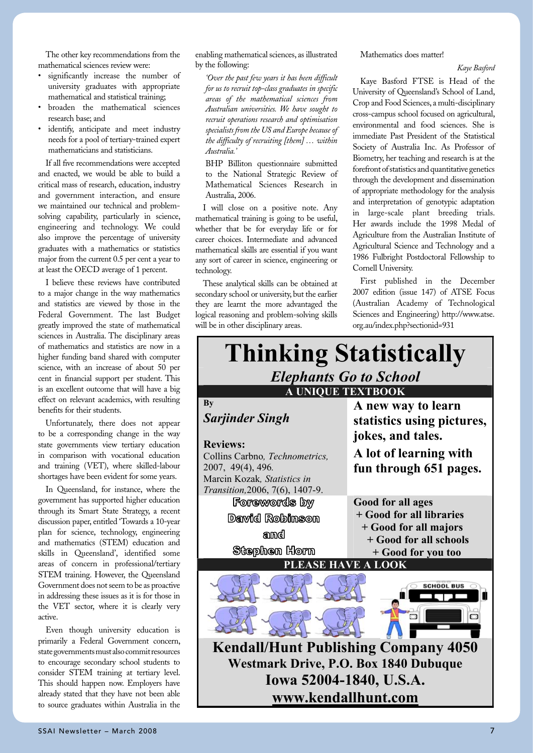The other key recommendations from the mathematical sciences review were:

- significantly increase the number of university graduates with appropriate mathematical and statistical training;
- broaden the mathematical sciences research base; and
- identify, anticipate and meet industry needs for a pool of tertiary-trained expert mathematicians and statisticians.

If all five recommendations were accepted and enacted, we would be able to build a critical mass of research, education, industry and government interaction, and ensure we maintained our technical and problemsolving capability, particularly in science, engineering and technology. We could also improve the percentage of university graduates with a mathematics or statistics major from the current 0.5 per cent a year to at least the OECD average of 1 percent.

I believe these reviews have contributed to a major change in the way mathematics and statistics are viewed by those in the Federal Government. The last Budget greatly improved the state of mathematical sciences in Australia. The disciplinary areas of mathematics and statistics are now in a higher funding band shared with computer science, with an increase of about 50 per cent in financial support per student. This is an excellent outcome that will have a big effect on relevant academics, with resulting benefits for their students.

Unfortunately, there does not appear to be a corresponding change in the way state governments view tertiary education in comparison with vocational education and training (VET), where skilled-labour shortages have been evident for some years.

In Queensland, for instance, where the government has supported higher education through its Smart State Strategy, a recent discussion paper, entitled 'Towards a 10-year plan for science, technology, engineering and mathematics (STEM) education and skills in Queensland', identified some areas of concern in professional/tertiary STEM training. However, the Queensland Government does not seem to be as proactive in addressing these issues as it is for those in the VET sector, where it is clearly very active.

Even though university education is primarily a Federal Government concern, state governments must also commit resources to encourage secondary school students to consider STEM training at tertiary level. This should happen now. Employers have already stated that they have not been able to source graduates within Australia in the

enabling mathematical sciences, as illustrated by the following:

*'Over the past few years it has been difficult for us to recruit top-class graduates in specific areas of the mathematical sciences from Australian universities. We have sought to recruit operations research and optimisation specialists from the US and Europe because of the difficulty of recruiting [them] … within Australia.'*

BHP Billiton questionnaire submitted to the National Strategic Review of Mathematical Sciences Research in Australia, 2006.

I will close on a positive note. Any mathematical training is going to be useful, whether that be for everyday life or for career choices. Intermediate and advanced mathematical skills are essential if you want any sort of career in science, engineering or technology.

These analytical skills can be obtained at secondary school or university, but the earlier they are learnt the more advantaged the logical reasoning and problem-solving skills will be in other disciplinary areas.

Mathematics does matter!

*Kaye Basford*

Kaye Basford FTSE is Head of the University of Queensland's School of Land, Crop and Food Sciences, a multi-disciplinary cross-campus school focused on agricultural, environmental and food sciences. She is immediate Past President of the Statistical Society of Australia Inc. As Professor of Biometry, her teaching and research is at the forefront of statistics and quantitative genetics through the development and dissemination of appropriate methodology for the analysis and interpretation of genotypic adaptation in large-scale plant breeding trials. Her awards include the 1998 Medal of Agriculture from the Australian Institute of Agricultural Science and Technology and a 1986 Fulbright Postdoctoral Fellowship to Cornell University.

First published in the December 2007 edition (issue 147) of ATSE Focus (Australian Academy of Technological Sciences and Engineering) http://www.atse. org.au/index.php?sectionid=931

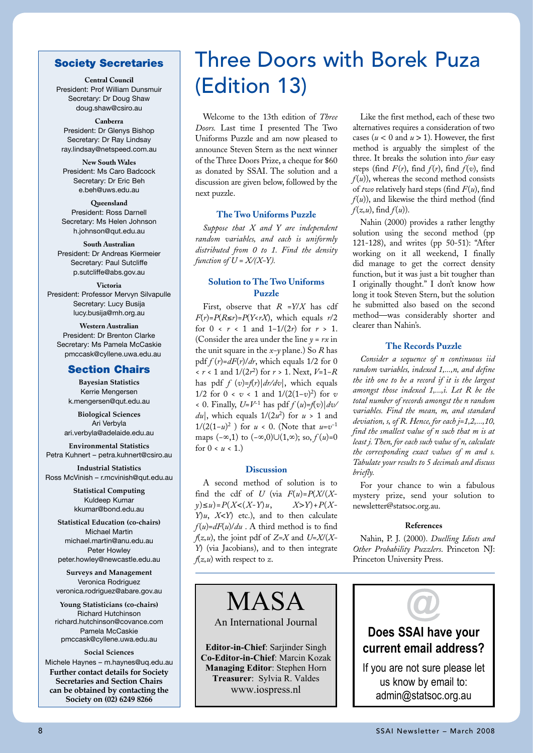### Society Secretaries

**Central Council**

President: Prof William Dunsmuir Secretary: Dr Doug Shaw doug.shaw@csiro.au

#### **Canberra**

President: Dr Glenys Bishop Secretary: Dr Ray Lindsay ray.lindsay@netspeed.com.au

#### **New South Wales** President: Ms Caro Badcock Secretary: Dr Eric Beh e.beh@uws.edu.au

**Queensland** President: Ross Darnell Secretary: Ms Helen Johnson h.johnson@qut.edu.au

### **South Australian**

President: Dr Andreas Kiermeier Secretary: Paul Sutcliffe p.sutcliffe@abs.gov.au

#### **Victoria** President: Professor Mervyn Silvapulle Secretary: Lucy Busija lucy.busija@mh.org.au

**Western Australian** President: Dr Brenton Clarke Secretary: Ms Pamela McCaskie pmccask@cyllene.uwa.edu.au

### Section Chairs

**Bayesian Statistics** Kerrie Mengersen k.mengersen@qut.edu.au

**Biological Sciences** Ari Verbyla ari.verbyla@adelaide.edu.au

**Environmental Statistics** Petra Kuhnert – petra.kuhnert@csiro.au

**Industrial Statistics** Ross McVinish – r.mcvinish@qut.edu.au

> **Statistical Computing** Kuldeep Kumar kkumar@bond.edu.au

**Statistical Education (co-chairs)** Michael Martin michael.martin@anu.edu.au Peter Howley peter.howley@newcastle.edu.au

**Surveys and Management** Veronica Rodriguez veronica.rodriguez@abare.gov.au

**Young Statisticians (co-chairs)** Richard Hutchinson richard.hutchinson@covance.com Pamela McCaskie pmccask@cyllene.uwa.edu.au

#### **Social Sciences**

Michele Haynes – m.haynes@uq.edu.au **Further contact details for Society Secretaries and Section Chairs can be obtained by contacting the Society on (02) 6249 8266**

# Three Doors with Borek Puza (Edition 13)

Welcome to the 13th edition of *Three Doors.* Last time I presented The Two Uniforms Puzzle and am now pleased to announce Steven Stern as the next winner of the Three Doors Prize, a cheque for \$60 as donated by SSAI. The solution and a discussion are given below, followed by the next puzzle.

### **The Two Uniforms Puzzle**

*Suppose that X and Y are independent random variables, and each is uniformly distributed from 0 to 1. Find the density function of*  $U = X/(X-Y)$ *.* 

### **Solution to The Two Uniforms Puzzle**

First, observe that *R* =*Y*/*X* has cdf  $F(r) = P(R \le r) = P(Y \le rX)$ , which equals  $r/2$ for  $0 \le r \le 1$  and  $1 - 1/(2r)$  for  $r > 1$ . for  $0 \lt r \lt 1$  and  $1-1/(2r)$  for  $r > 1$ . Clearer the Consider the area under the line  $y = rx$  in the unit square in the  $x$ -y plane.) So  $R$  has  $pdf f(r) = dF(r)/dr$ , which equals 1/2 for 0  $x < r < 1$  and  $1/(2r^2)$  for  $r > 1$ . Next,  $V=1-R$  random has pdf  $f (v) = f(r) |dr/dv|$ , which equals 1/2 for  $0 < v < 1$  and  $1/(2(1-v)^2)$  for *v* amo < 0. Finally,  $U=V^{-1}$  has pdf  $f(u)=f(v)|dv$  total numb  $du$ , which equals  $1/(2u^2)$  for  $u > 1$  and 1/(2(1-*u*)<sup>2</sup>) for *u* < 0. (Note that *u*=v<sup>-1</sup> maps  $(-\infty,1)$  to  $(-\infty,0) \cup (1,\infty)$ ; so,  $f(u)=0$   $\frac{f(u)}{f(x)}$ for  $0 < u < 1$ .)  $\mathcal{W}[u]$ , which equals  $1/(2u^2)$  for  $u > 1$  and *deviation*, statistical

#### **Discussion**

A second method of solution is to find the cdf of *U* (via  $F(u)=P(X/(X$ *y*)≤*u*)=*P*(*X*<(*X*-*Y*)*u*, *X*>*Y*)+*P*(*X*-*Y*)*u*, *X*<*Y*) etc.), and to then calculate  $f(u)=dF(u)/du$ . A third method is to find *f*(*z,u*), the joint pdf of *Z=X* and *U=X*/(*X*- Nahin, F *Y*) (via Jacobians), and to then integrate Other I  $f(z, u)$  with respect to *z*.

MASA

An International Journal

**Editor-in-Chief**: Sarjinder Singh **Co-Editor-in-Chief**: Marcin Kozak **Managing Editor**: Stephen Horn **Treasurer**: Sylvia R. Valdes www.iospress.nl

**www.kendallhunt.com**

Like the first method, each of these two alternatives requires a consideration of two cases ( $u$  < 0 and  $u$  > 1). However, the first method is arguably the simplest of the three. It breaks the solution into *four* easy steps (find  $F(r)$ , find  $f(r)$ , find  $f(v)$ , find  $f(u)$ , whereas the second method consists of *two* relatively hard steps (find *F*(*u*), find  $f(u)$ ), and likewise the third method (find *f*(*z,u*), find *f*(*u*)).

Nahin (2000) provides a rather lengthy solution using the second method (pp 121-128), and writes (pp 50-51): "After working on it all weekend, I finally did manage to get the correct density function, but it was just a bit tougher than I originally thought." I don't know how long it took Steven Stern, but the solution he submitted also based on the second method—was considerably shorter and clearer than Nahin's.

#### **The Records Puzzle**

*Consider a sequence of n continuous iid random variables, indexed 1,...,n, and define*  ich equals the *ith one to be a record if it is the largest amongst those indexed 1,...,i. Let R be the total number of records amongst the n random variables. Find the mean, m, and standard deviation, s, of R. Hence, for each j=1,2,...,10, find the smallest value of n such that m is at*  80, J (u)<sup>-0</sup> least j. Then, for each such value of n, calculate the corresponding exact values of *m* and *s*. Tabulate your results to 5 decimals and discuss  $b$ *riefly.* 

> For your chance to win a fabulous mystery prize, send your solution to newsletter@statsoc.org.au.

#### **References**

Nahin, P. J. (2000). *Duelling Idiots and Other Probability Puzzlers*. Princeton NJ: Princeton University Press.

# **Does SSAI have your current email address?** If you are not sure please let us know by email to: admin@statsoc.org.au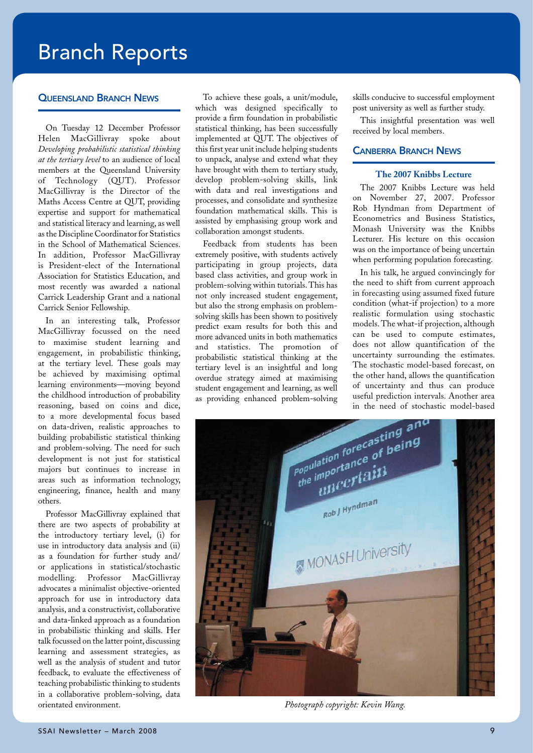# Branch Reports

### **OUFFNSLAND BRANCH NEWS**

On Tuesday 12 December Professor Helen MacGillivray spoke about *Developing probabilistic statistical thinking at the tertiary level* to an audience of local members at the Queensland University of Technology (QUT). Professor MacGillivray is the Director of the Maths Access Centre at QUT, providing expertise and support for mathematical and statistical literacy and learning, as well as the Discipline Coordinator for Statistics in the School of Mathematical Sciences. In addition, Professor MacGillivray is President-elect of the International Association for Statistics Education, and most recently was awarded a national Carrick Leadership Grant and a national Carrick Senior Fellowship.

In an interesting talk, Professor MacGillivray focussed on the need to maximise student learning and engagement, in probabilistic thinking, at the tertiary level. These goals may be achieved by maximising optimal learning environments—moving beyond the childhood introduction of probability reasoning, based on coins and dice, to a more developmental focus based on data-driven, realistic approaches to building probabilistic statistical thinking and problem-solving. The need for such development is not just for statistical majors but continues to increase in areas such as information technology, engineering, finance, health and many others.

Professor MacGillivray explained that there are two aspects of probability at the introductory tertiary level, (i) for use in introductory data analysis and (ii) as a foundation for further study and/ or applications in statistical/stochastic modelling. Professor MacGillivray advocates a minimalist objective-oriented approach for use in introductory data analysis, and a constructivist, collaborative and data-linked approach as a foundation in probabilistic thinking and skills. Her talk focussed on the latter point, discussing learning and assessment strategies, as well as the analysis of student and tutor feedback, to evaluate the effectiveness of teaching probabilistic thinking to students in a collaborative problem-solving, data orientated environment.

To achieve these goals, a unit/module, which was designed specifically to provide a firm foundation in probabilistic statistical thinking, has been successfully implemented at QUT. The objectives of this first year unit include helping students to unpack, analyse and extend what they have brought with them to tertiary study, develop problem-solving skills, link with data and real investigations and processes, and consolidate and synthesize foundation mathematical skills. This is assisted by emphasising group work and collaboration amongst students.

Feedback from students has been extremely positive, with students actively participating in group projects, data based class activities, and group work in problem-solving within tutorials. This has not only increased student engagement, but also the strong emphasis on problemsolving skills has been shown to positively predict exam results for both this and more advanced units in both mathematics and statistics. The promotion of probabilistic statistical thinking at the tertiary level is an insightful and long overdue strategy aimed at maximising student engagement and learning, as well as providing enhanced problem-solving

skills conducive to successful employment post university as well as further study.

This insightful presentation was well received by local members.

### Canberra Branch News

#### **The 2007 Knibbs Lecture**

The 2007 Knibbs Lecture was held on November 27, 2007. Professor Rob Hyndman from Department of Econometrics and Business Statistics, Monash University was the Knibbs Lecturer. His lecture on this occasion was on the importance of being uncertain when performing population forecasting.

In his talk, he argued convincingly for the need to shift from current approach in forecasting using assumed fixed future condition (what-if projection) to a more realistic formulation using stochastic models. The what-if projection, although can be used to compute estimates, does not allow quantification of the uncertainty surrounding the estimates. The stochastic model-based forecast, on the other hand, allows the quantification of uncertainty and thus can produce useful prediction intervals. Another area



*Photograph copyright: Kevin Wang.*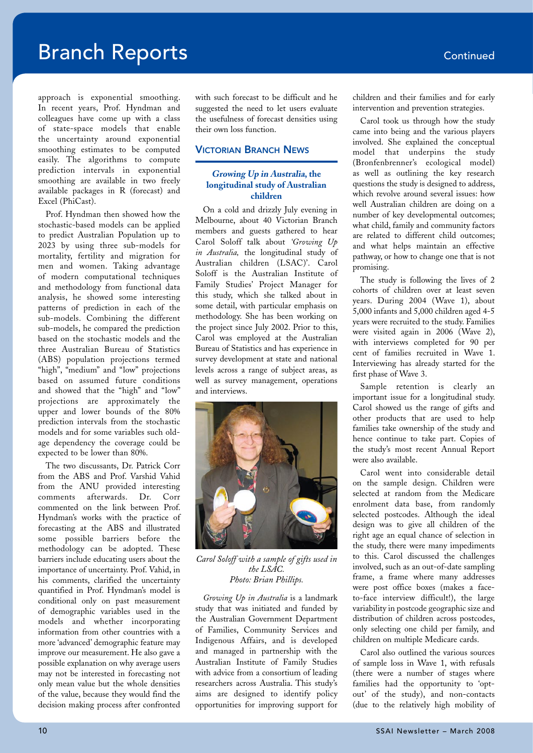# **Branch Reports Continued**

approach is exponential smoothing. In recent years, Prof. Hyndman and colleagues have come up with a class of state-space models that enable the uncertainty around exponential smoothing estimates to be computed easily. The algorithms to compute prediction intervals in exponential smoothing are available in two freely available packages in R (forecast) and Excel (PhiCast).

Prof. Hyndman then showed how the stochastic-based models can be applied to predict Australian Population up to 2023 by using three sub-models for mortality, fertility and migration for men and women. Taking advantage of modern computational techniques and methodology from functional data analysis, he showed some interesting patterns of prediction in each of the sub-models. Combining the different sub-models, he compared the prediction based on the stochastic models and the three Australian Bureau of Statistics (ABS) population projections termed "high", "medium" and "low" projections based on assumed future conditions and showed that the "high" and "low" projections are approximately the upper and lower bounds of the 80% prediction intervals from the stochastic models and for some variables such oldage dependency the coverage could be expected to be lower than 80%.

The two discussants, Dr. Patrick Corr from the ABS and Prof. Varshid Vahid from the ANU provided interesting comments afterwards. Dr. Corr commented on the link between Prof. Hyndman's works with the practice of forecasting at the ABS and illustrated some possible barriers before the methodology can be adopted. These barriers include educating users about the importance of uncertainty. Prof. Vahid, in his comments, clarified the uncertainty quantified in Prof. Hyndman's model is conditional only on past measurement of demographic variables used in the models and whether incorporating information from other countries with a more 'advanced' demographic feature may improve our measurement. He also gave a possible explanation on why average users may not be interested in forecasting not only mean value but the whole densities of the value, because they would find the decision making process after confronted

with such forecast to be difficult and he suggested the need to let users evaluate the usefulness of forecast densities using their own loss function.

### Victorian Branch News

### **Growing Up in Australia, the longitudinal study of Australian children**

On a cold and drizzly July evening in Melbourne, about 40 Victorian Branch members and guests gathered to hear Carol Soloff talk about *'Growing Up in Australia,* the longitudinal study of Australian children (LSAC)'. Carol Soloff is the Australian Institute of Family Studies' Project Manager for this study, which she talked about in some detail, with particular emphasis on methodology. She has been working on the project since July 2002. Prior to this, Carol was employed at the Australian Bureau of Statistics and has experience in survey development at state and national levels across a range of subject areas, as well as survey management, operations and interviews.



*Carol Soloff with a sample of gifts used in the LSAC. Photo: Brian Phillips.*

*Growing Up in Australia* is a landmark study that was initiated and funded by the Australian Government Department of Families, Community Services and Indigenous Affairs, and is developed and managed in partnership with the Australian Institute of Family Studies with advice from a consortium of leading researchers across Australia. This study's aims are designed to identify policy opportunities for improving support for children and their families and for early intervention and prevention strategies.

Carol took us through how the study came into being and the various players involved. She explained the conceptual model that underpins the study (Bronfenbrenner's ecological model) as well as outlining the key research questions the study is designed to address, which revolve around several issues: how well Australian children are doing on a number of key developmental outcomes; what child, family and community factors are related to different child outcomes; and what helps maintain an effective pathway, or how to change one that is not promising.

The study is following the lives of 2 cohorts of children over at least seven years. During 2004 (Wave 1), about 5,000 infants and 5,000 children aged 4-5 years were recruited to the study. Families were visited again in 2006 (Wave 2), with interviews completed for 90 per cent of families recruited in Wave 1. Interviewing has already started for the first phase of Wave 3.

Sample retention is clearly an important issue for a longitudinal study. Carol showed us the range of gifts and other products that are used to help families take ownership of the study and hence continue to take part. Copies of the study's most recent Annual Report were also available.

Carol went into considerable detail on the sample design. Children were selected at random from the Medicare enrolment data base, from randomly selected postcodes. Although the ideal design was to give all children of the right age an equal chance of selection in the study, there were many impediments to this. Carol discussed the challenges involved, such as an out-of-date sampling frame, a frame where many addresses were post office boxes (makes a faceto-face interview difficult!), the large variability in postcode geographic size and distribution of children across postcodes, only selecting one child per family, and children on multiple Medicare cards.

Carol also outlined the various sources of sample loss in Wave 1, with refusals (there were a number of stages where families had the opportunity to 'optout' of the study), and non-contacts (due to the relatively high mobility of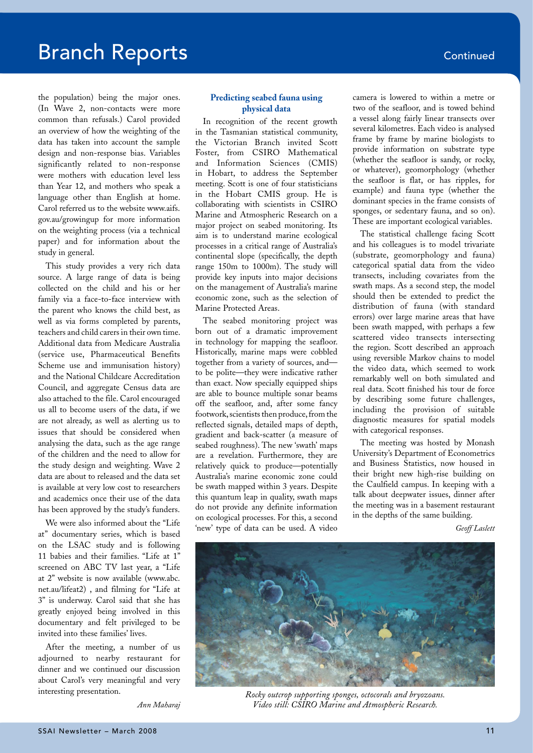the population) being the major ones. (In Wave 2, non-contacts were more common than refusals.) Carol provided an overview of how the weighting of the data has taken into account the sample design and non-response bias. Variables significantly related to non-response were mothers with education level less than Year 12, and mothers who speak a language other than English at home. Carol referred us to the website www.aifs. gov.au/growingup for more information on the weighting process (via a technical paper) and for information about the study in general.

This study provides a very rich data source. A large range of data is being collected on the child and his or her family via a face-to-face interview with the parent who knows the child best, as well as via forms completed by parents, teachers and child carers in their own time. Additional data from Medicare Australia (service use, Pharmaceutical Benefits Scheme use and immunisation history) and the National Childcare Accreditation Council, and aggregate Census data are also attached to the file. Carol encouraged us all to become users of the data, if we are not already, as well as alerting us to issues that should be considered when analysing the data, such as the age range of the children and the need to allow for the study design and weighting. Wave 2 data are about to released and the data set is available at very low cost to researchers and academics once their use of the data has been approved by the study's funders.

We were also informed about the "Life at" documentary series, which is based on the LSAC study and is following 11 babies and their families. "Life at 1" screened on ABC TV last year, a "Life at 2" website is now available (www.abc. net.au/lifeat2) , and filming for "Life at 3" is underway. Carol said that she has greatly enjoyed being involved in this documentary and felt privileged to be invited into these families' lives.

After the meeting, a number of us adjourned to nearby restaurant for dinner and we continued our discussion about Carol's very meaningful and very interesting presentation.

*Ann Maharaj*

### **Predicting seabed fauna using physical data**

In recognition of the recent growth in the Tasmanian statistical community, the Victorian Branch invited Scott Foster, from CSIRO Mathematical and Information Sciences (CMIS) in Hobart, to address the September meeting. Scott is one of four statisticians in the Hobart CMIS group. He is collaborating with scientists in CSIRO Marine and Atmospheric Research on a major project on seabed monitoring. Its aim is to understand marine ecological processes in a critical range of Australia's continental slope (specifically, the depth range 150m to 1000m). The study will provide key inputs into major decisions on the management of Australia's marine economic zone, such as the selection of Marine Protected Areas.

The seabed monitoring project was born out of a dramatic improvement in technology for mapping the seafloor. Historically, marine maps were cobbled together from a variety of sources, and to be polite—they were indicative rather than exact. Now specially equipped ships are able to bounce multiple sonar beams off the seafloor, and, after some fancy footwork, scientists then produce, from the reflected signals, detailed maps of depth, gradient and back-scatter (a measure of seabed roughness). The new 'swath' maps are a revelation. Furthermore, they are relatively quick to produce—potentially Australia's marine economic zone could be swath mapped within 3 years. Despite this quantum leap in quality, swath maps do not provide any definite information on ecological processes. For this, a second 'new' type of data can be used. A video

camera is lowered to within a metre or two of the seafloor, and is towed behind a vessel along fairly linear transects over several kilometres. Each video is analysed frame by frame by marine biologists to provide information on substrate type (whether the seafloor is sandy, or rocky, or whatever), geomorphology (whether the seafloor is flat, or has ripples, for example) and fauna type (whether the dominant species in the frame consists of sponges, or sedentary fauna, and so on). These are important ecological variables.

The statistical challenge facing Scott and his colleagues is to model trivariate (substrate, geomorphology and fauna) categorical spatial data from the video transects, including covariates from the swath maps. As a second step, the model should then be extended to predict the distribution of fauna (with standard errors) over large marine areas that have been swath mapped, with perhaps a few scattered video transects intersecting the region. Scott described an approach using reversible Markov chains to model the video data, which seemed to work remarkably well on both simulated and real data. Scott finished his tour de force by describing some future challenges, including the provision of suitable diagnostic measures for spatial models with categorical responses.

The meeting was hosted by Monash University's Department of Econometrics and Business Statistics, now housed in their bright new high-rise building on the Caulfield campus. In keeping with a talk about deepwater issues, dinner after the meeting was in a basement restaurant in the depths of the same building.

*Geoff Laslett*



*Rocky outcrop supporting sponges, octocorals and bryozoans. Video still: CSIRO Marine and Atmospheric Research.*